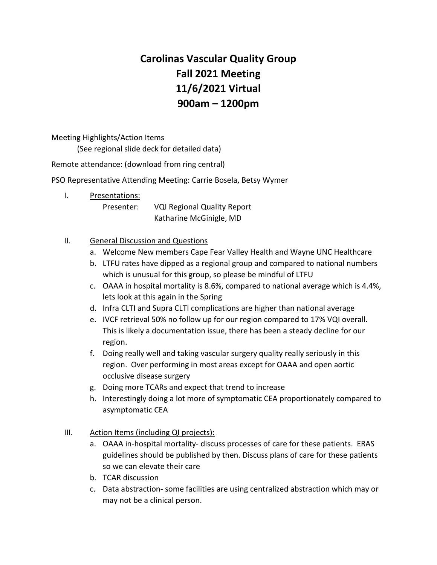# **Carolinas Vascular Quality Group Fall 2021 Meeting 11/6/2021 Virtual 900am – 1200pm**

Meeting Highlights/Action Items

(See regional slide deck for detailed data)

Remote attendance: (download from ring central)

PSO Representative Attending Meeting: Carrie Bosela, Betsy Wymer

I. Presentations:

Presenter: VQI Regional Quality Report Katharine McGinigle, MD

## II. General Discussion and Questions

- a. Welcome New members Cape Fear Valley Health and Wayne UNC Healthcare
- b. LTFU rates have dipped as a regional group and compared to national numbers which is unusual for this group, so please be mindful of LTFU
- c. OAAA in hospital mortality is 8.6%, compared to national average which is 4.4%, lets look at this again in the Spring
- d. Infra CLTI and Supra CLTI complications are higher than national average
- e. IVCF retrieval 50% no follow up for our region compared to 17% VQI overall. This is likely a documentation issue, there has been a steady decline for our region.
- f. Doing really well and taking vascular surgery quality really seriously in this region. Over performing in most areas except for OAAA and open aortic occlusive disease surgery
- g. Doing more TCARs and expect that trend to increase
- h. Interestingly doing a lot more of symptomatic CEA proportionately compared to asymptomatic CEA
- III. Action Items (including QI projects):
	- a. OAAA in-hospital mortality- discuss processes of care for these patients. ERAS guidelines should be published by then. Discuss plans of care for these patients so we can elevate their care
	- b. TCAR discussion
	- c. Data abstraction- some facilities are using centralized abstraction which may or may not be a clinical person.